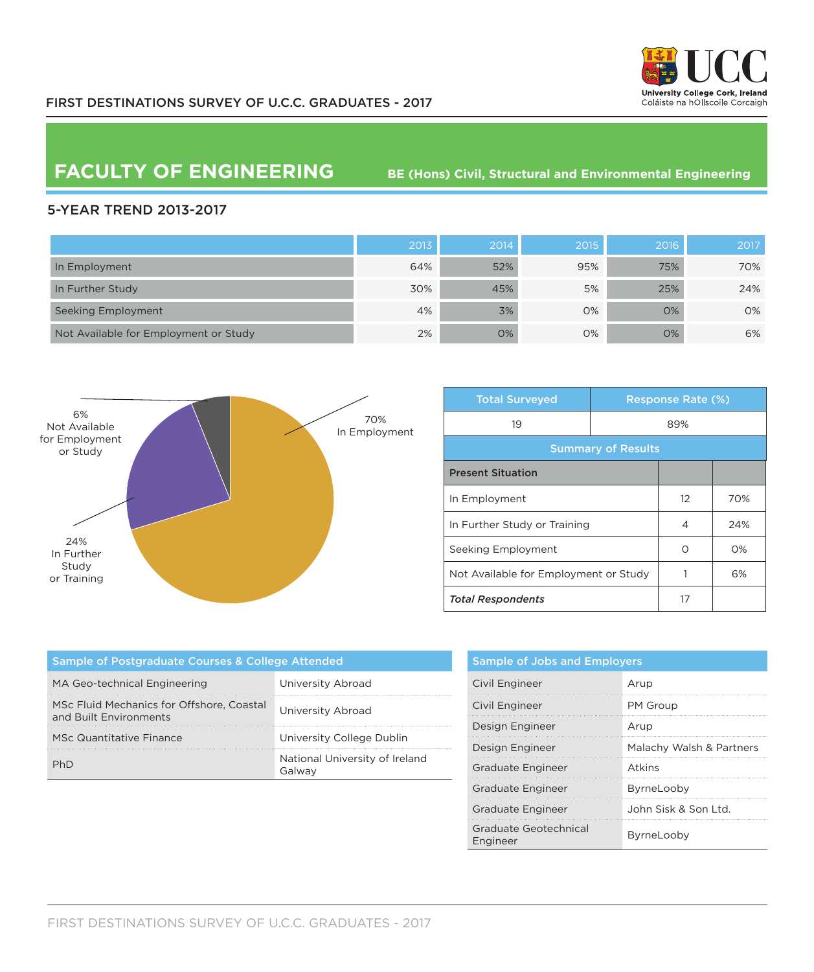

## **FACULTY OF ENGINEERING** BE (Hons) Civil, Structural and Environmental Engineering

## 5-YEAR TREND 2013-2017

|                                       | 2013 | 2014 | 2015 | 2016 | 2017 |
|---------------------------------------|------|------|------|------|------|
| In Employment                         | 64%  | 52%  | 95%  | 75%  | 70%  |
| In Further Study                      | 30%  | 45%  | 5%   | 25%  | 24%  |
| Seeking Employment                    | 4%   | 3%   | 0%   | 0%   | 0%   |
| Not Available for Employment or Study | 2%   | 0%   | 0%   | O%   | 6%   |



| <b>Total Surveyed</b>                 |  | <b>Response Rate (%)</b> |       |  |
|---------------------------------------|--|--------------------------|-------|--|
| 19                                    |  | 89%                      |       |  |
| <b>Summary of Results</b>             |  |                          |       |  |
| <b>Present Situation</b>              |  |                          |       |  |
| In Employment                         |  | 12                       | 70%   |  |
| In Further Study or Training          |  | 4                        | 24%   |  |
| Seeking Employment                    |  | Ω                        | $O\%$ |  |
| Not Available for Employment or Study |  |                          | 6%    |  |
| <b>Total Respondents</b>              |  | 17                       |       |  |

| Sample of Postgraduate Courses & College Attended                   |                                          |  |  |
|---------------------------------------------------------------------|------------------------------------------|--|--|
| MA Geo-technical Engineering                                        | University Abroad                        |  |  |
| MSc Fluid Mechanics for Offshore, Coastal<br>and Built Environments | University Abroad                        |  |  |
| MSc Quantitative Finance                                            | University College Dublin                |  |  |
|                                                                     | National University of Ireland<br>Galway |  |  |

| <b>Sample of Jobs and Employers</b> |                          |  |  |
|-------------------------------------|--------------------------|--|--|
| Civil Engineer                      | Arup                     |  |  |
| Civil Engineer                      | PM Group                 |  |  |
| Design Engineer                     | Arup                     |  |  |
| Design Engineer                     | Malachy Walsh & Partners |  |  |
| Graduate Engineer                   | Atkins                   |  |  |
| <b>Graduate Engineer</b>            | ByrneLooby               |  |  |
| Graduate Engineer                   | John Sisk & Son Ltd.     |  |  |
| Graduate Geotechnical<br>Engineer   | ByrneLooby               |  |  |